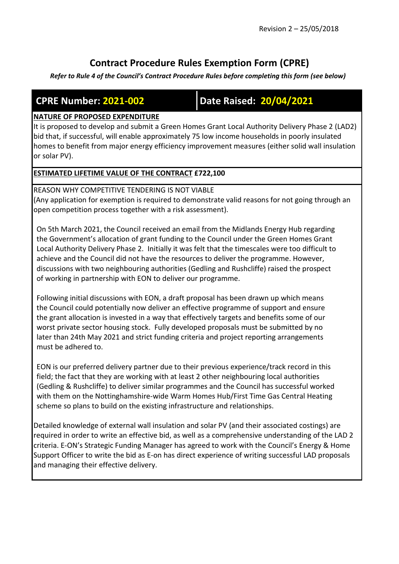# **Contract Procedure Rules Exemption Form (CPRE)**

*Refer to Rule 4 of the Council's Contract Procedure Rules before completing this form (see below)*

**CPRE Number: 2021-002 Date Raised: 20/04/2021**

# **NATURE OF PROPOSED EXPENDITURE**

It is proposed to develop and submit a Green Homes Grant Local Authority Delivery Phase 2 (LAD2) bid that, if successful, will enable approximately 75 low income households in poorly insulated homes to benefit from major energy efficiency improvement measures (either solid wall insulation or solar PV).

# **ESTIMATED LIFETIME VALUE OF THE CONTRACT £722,100**

REASON WHY COMPETITIVE TENDERING IS NOT VIABLE (Any application for exemption is required to demonstrate valid reasons for not going through an open competition process together with a risk assessment).

On 5th March 2021, the Council received an email from the Midlands Energy Hub regarding the Government's allocation of grant funding to the Council under the Green Homes Grant Local Authority Delivery Phase 2. Initially it was felt that the timescales were too difficult to achieve and the Council did not have the resources to deliver the programme. However, discussions with two neighbouring authorities (Gedling and Rushcliffe) raised the prospect of working in partnership with EON to deliver our programme.

Following initial discussions with EON, a draft proposal has been drawn up which means the Council could potentially now deliver an effective programme of support and ensure the grant allocation is invested in a way that effectively targets and benefits some of our worst private sector housing stock. Fully developed proposals must be submitted by no later than 24th May 2021 and strict funding criteria and project reporting arrangements must be adhered to.

EON is our preferred delivery partner due to their previous experience/track record in this field; the fact that they are working with at least 2 other neighbouring local authorities (Gedling & Rushcliffe) to deliver similar programmes and the Council has successful worked with them on the Nottinghamshire-wide Warm Homes Hub/First Time Gas Central Heating scheme so plans to build on the existing infrastructure and relationships.

Detailed knowledge of external wall insulation and solar PV (and their associated costings) are required in order to write an effective bid, as well as a comprehensive understanding of the LAD 2 criteria. E-ON's Strategic Funding Manager has agreed to work with the Council's Energy & Home Support Officer to write the bid as E-on has direct experience of writing successful LAD proposals and managing their effective delivery.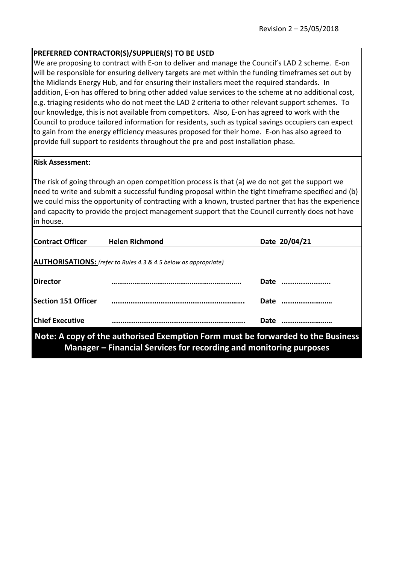## **PREFERRED CONTRACTOR(S)/SUPPLIER(S) TO BE USED**

We are proposing to contract with E-on to deliver and manage the Council's LAD 2 scheme. E-on will be responsible for ensuring delivery targets are met within the funding timeframes set out by the Midlands Energy Hub, and for ensuring their installers meet the required standards. In addition, E-on has offered to bring other added value services to the scheme at no additional cost, e.g. triaging residents who do not meet the LAD 2 criteria to other relevant support schemes. To our knowledge, this is not available from competitors. Also, E-on has agreed to work with the Council to produce tailored information for residents, such as typical savings occupiers can expect to gain from the energy efficiency measures proposed for their home. E-on has also agreed to provide full support to residents throughout the pre and post installation phase.

## **Risk Assessment**:

The risk of going through an open competition process is that (a) we do not get the support we need to write and submit a successful funding proposal within the tight timeframe specified and (b) we could miss the opportunity of contracting with a known, trusted partner that has the experience and capacity to provide the project management support that the Council currently does not have in house.

| <b>Contract Officer</b>                                                         | <b>Helen Richmond</b> |             | Date 20/04/21 |
|---------------------------------------------------------------------------------|-----------------------|-------------|---------------|
| <b>AUTHORISATIONS:</b> (refer to Rules 4.3 & 4.5 below as appropriate)          |                       |             |               |
| <b>IDirector</b>                                                                |                       | <b>Date</b> |               |
| <b>Section 151 Officer</b>                                                      |                       | <b>Date</b> |               |
| <b>Chief Executive</b>                                                          |                       | <b>Date</b> |               |
| Note: A copy of the authorised Exemption Form must be forwarded to the Business |                       |             |               |

**Manager – Financial Services for recording and monitoring purposes**